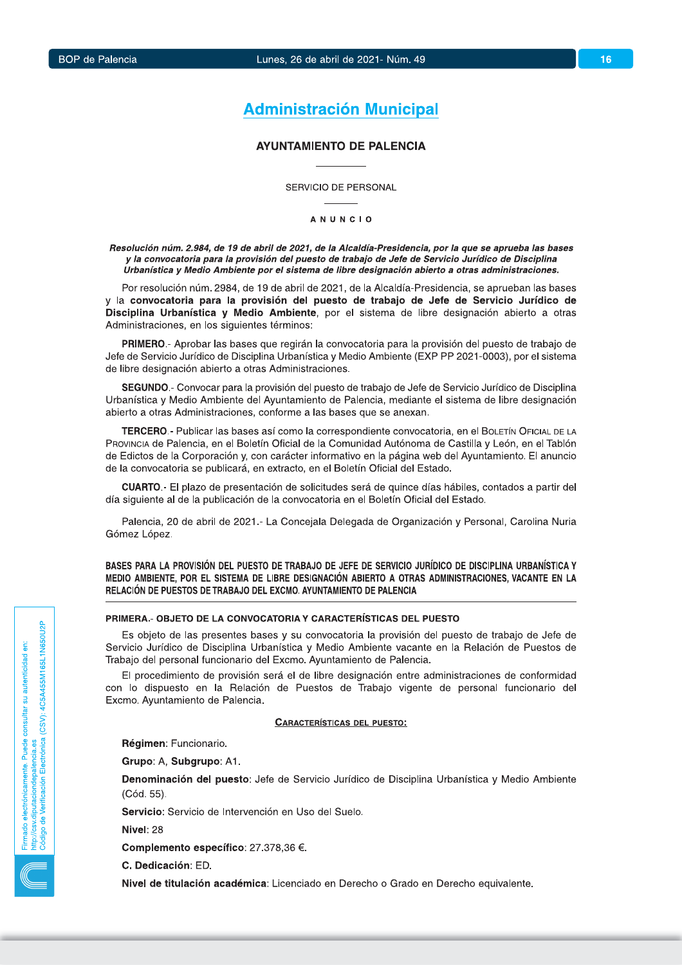## 16

# **Administración Municipal**

## **AYUNTAMIENTO DE PALENCIA**

SERVICIO DE PERSONAL

**ANUNCIO** 

Resolución núm. 2.984, de 19 de abril de 2021, de la Alcaldía-Presidencia, por la que se aprueba las bases y la convocatoria para la provisión del puesto de trabajo de Jefe de Servicio Jurídico de Disciplina Urbanística y Medio Ambiente por el sistema de libre designación abierto a otras administraciones.

Por resolución núm. 2984, de 19 de abril de 2021, de la Alcaldía-Presidencia, se aprueban las bases y la convocatoria para la provisión del puesto de trabajo de Jefe de Servicio Jurídico de Disciplina Urbanística y Medio Ambiente, por el sistema de libre designación abierto a otras Administraciones, en los siguientes términos:

PRIMERO.- Aprobar las bases que regirán la convocatoria para la provisión del puesto de trabajo de Jefe de Servicio Jurídico de Disciplina Urbanística y Medio Ambiente (EXP PP 2021-0003), por el sistema de libre designación abierto a otras Administraciones.

SEGUNDO.- Convocar para la provisión del puesto de trabajo de Jefe de Servicio Jurídico de Disciplina Urbanística y Medio Ambiente del Ayuntamiento de Palencia, mediante el sistema de libre designación abierto a otras Administraciones, conforme a las bases que se anexan.

TERCERO.- Publicar las bases así como la correspondiente convocatoria, en el BOLETÍN OFICIAL DE LA PROVINCIA de Palencia, en el Boletín Oficial de la Comunidad Autónoma de Castilla y León, en el Tablón de Edictos de la Corporación y, con carácter informativo en la página web del Ayuntamiento. El anuncio de la convocatoria se publicará, en extracto, en el Boletín Oficial del Estado.

CUARTO.- El plazo de presentación de solicitudes será de quince días hábiles, contados a partir del día siguiente al de la publicación de la convocatoria en el Boletín Oficial del Estado.

Palencia, 20 de abril de 2021.- La Concejala Delegada de Organización y Personal, Carolina Nuria Gómez López.

BASES PARA LA PROVISIÓN DEL PUESTO DE TRABAJO DE JEFE DE SERVICIO JURÍDICO DE DISCIPLINA URBANÍSTICA Y MEDIO AMBIENTE, POR EL SISTEMA DE LIBRE DESIGNACIÓN ABIERTO A OTRAS ADMINISTRACIONES, VACANTE EN LA RELACIÓN DE PUESTOS DE TRABAJO DEL EXCMO. AYUNTAMIENTO DE PALENCIA

## PRIMERA.- OBJETO DE LA CONVOCATORIA Y CARACTERÍSTICAS DEL PUESTO

Es objeto de las presentes bases y su convocatoria la provisión del puesto de trabajo de Jefe de Servicio Jurídico de Disciplina Urbanística y Medio Ambiente vacante en la Relación de Puestos de Trabaio del personal funcionario del Excmo. Avuntamiento de Palencia.

El procedimiento de provisión será el de libre designación entre administraciones de conformidad con lo dispuesto en la Relación de Puestos de Trabajo vigente de personal funcionario del Excmo. Ayuntamiento de Palencia.

#### **CARACTERÍSTICAS DEL PUESTO:**

Régimen: Funcionario.

Grupo: A. Subgrupo: A1.

Denominación del puesto: Jefe de Servicio Jurídico de Disciplina Urbanística y Medio Ambiente (Cód. 55).

Servicio: Servicio de Intervención en Uso del Suelo.

Nivel: 28

Complemento específico: 27.378,36 €.

C. Dedicación: ED.

Nivel de titulación académica: Licenciado en Derecho o Grado en Derecho equivalente.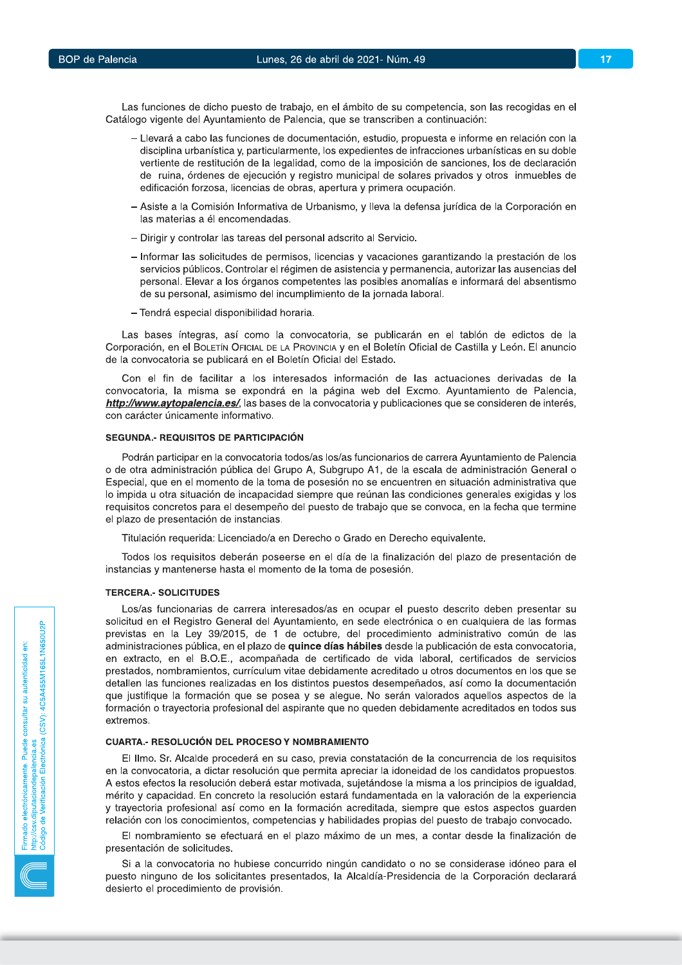Las funciones de dicho puesto de trabajo, en el ámbito de su competencia, son las recogidas en el Catálogo vigente del Ayuntamiento de Palencia, que se transcriben a continuación:

- Llevará a cabo las funciones de documentación, estudio, propuesta e informe en relación con la disciplina urbanística y, particularmente, los expedientes de infracciones urbanísticas en su doble vertiente de restitución de la legalidad, como de la imposición de sanciones, los de declaración de ruina, órdenes de ejecución y registro municipal de solares privados y otros inmuebles de edificación forzosa, licencias de obras, apertura y primera ocupación.
- Asiste a la Comisión Informativa de Urbanismo, y lleva la defensa jurídica de la Corporación en las materias a él encomendadas.
- Dirigir y controlar las tareas del personal adscrito al Servicio.
- Informar las solicitudes de permisos, licencias y vacaciones garantizando la prestación de los servicios públicos. Controlar el régimen de asistencia y permanencia, autorizar las ausencias del personal. Elevar a los órganos competentes las posibles anomalías e informará del absentismo de su personal, asimismo del incumplimiento de la jornada laboral.
- Tendrá especial disponibilidad horaria.

Las bases íntegras, así como la convocatoria, se publicarán en el tablón de edictos de la Corporación, en el BOLETÍN OFICIAL DE LA PROVINCIA y en el Boletín Oficial de Castilla y León. El anuncio de la convocatoria se publicará en el Boletín Oficial del Estado.

Con el fin de facilitar a los interesados información de las actuaciones derivadas de la convocatoria, la misma se expondrá en la página web del Excmo. Ayuntamiento de Palencia, http://www.aytopalencia.es/, las bases de la convocatoria y publicaciones que se consideren de interés, con carácter únicamente informativo.

## SEGUNDA.- REQUISITOS DE PARTICIPACIÓN

Podrán participar en la convocatoria todos/as los/as funcionarios de carrera Ayuntamiento de Palencia o de otra administración pública del Grupo A, Subgrupo A1, de la escala de administración General o Especial, que en el momento de la toma de posesión no se encuentren en situación administrativa que lo impida u otra situación de incapacidad siempre que reúnan las condiciones generales exigidas y los requisitos concretos para el desempeño del puesto de trabajo que se convoca, en la fecha que termine el plazo de presentación de instancias.

Titulación requerida: Licenciado/a en Derecho o Grado en Derecho equivalente.

Todos los requisitos deberán poseerse en el día de la finalización del plazo de presentación de instancias y mantenerse hasta el momento de la toma de posesión.

#### **TERCERA.- SOLICITUDES**

Los/as funcionarias de carrera interesados/as en ocupar el puesto descrito deben presentar su solicitud en el Registro General del Ayuntamiento, en sede electrónica o en cualquiera de las formas previstas en la Ley 39/2015, de 1 de octubre, del procedimiento administrativo común de las administraciones pública, en el plazo de quince días hábiles desde la publicación de esta convocatoria, en extracto, en el B.O.E., acompañada de certificado de vida laboral, certificados de servicios prestados, nombramientos, currículum vitae debidamente acreditado u otros documentos en los que se detallen las funciones realizadas en los distintos puestos desempeñados, así como la documentación que justifique la formación que se posea y se alegue. No serán valorados aquellos aspectos de la formación o trayectoria profesional del aspirante que no queden debidamente acreditados en todos sus extremos.

## **CUARTA.- RESOLUCIÓN DEL PROCESO Y NOMBRAMIENTO**

El Ilmo. Sr. Alcalde procederá en su caso, previa constatación de la concurrencia de los requisitos en la convocatoria, a dictar resolución que permita apreciar la idoneidad de los candidatos propuestos. A estos efectos la resolución deberá estar motivada, sujetándose la misma a los principios de igualdad, mérito y capacidad. En concreto la resolución estará fundamentada en la valoración de la experiencia y travectoria profesional así como en la formación acreditada, siempre que estos aspectos quarden relación con los conocimientos, competencias y habilidades propias del puesto de trabajo convocado.

El nombramiento se efectuará en el plazo máximo de un mes, a contar desde la finalización de presentación de solicitudes.

Si a la convocatoria no hubiese concurrido ningún candidato o no se considerase idóneo para el puesto ninguno de los solicitantes presentados, la Alcaldía-Presidencia de la Corporación declarará desierto el procedimiento de provisión.